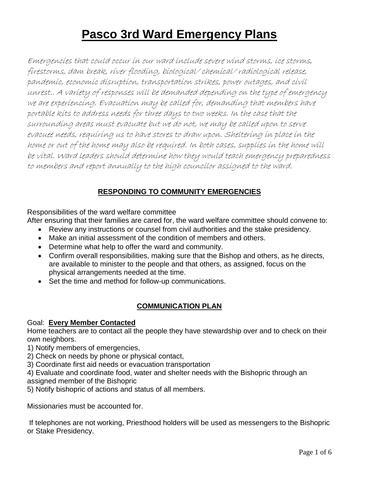# **Pasco 3rd Ward Emergency Plans**

Emergencies that could occur in our ward include severe wind storms, ice storms, firestorms, dam break, river flooding, biological/ chemical/ radiological release, pandemic, economic disruption, transportation strikes, power outages, and civil unrest.. A variety of responses will be demanded depending on the type of emergency we are experiencing. Evacuation may be called for, demanding that members have portable kits to address needs for three days to two weeks. In the case that the surrounding areas must evacuate but we do not, we may be called upon to serve evacuee needs, requiring us to have stores to draw upon. Sheltering in place in the home or out of the home may also be required. In both cases, supplies in the home will be vital. Ward leaders should determine how they would teach emergency preparedness to members and report annually to the high councilor assigned to the ward.

## **RESPONDING TO COMMUNITY EMERGENCIES**

Responsibilities of the ward welfare committee

After ensuring that their families are cared for, the ward welfare committee should convene to:

- Review any instructions or counsel from civil authorities and the stake presidency.
- Make an initial assessment of the condition of members and others.
- Determine what help to offer the ward and community.
- Confirm overall responsibilities, making sure that the Bishop and others, as he directs, are available to minister to the people and that others, as assigned, focus on the physical arrangements needed at the time.
- Set the time and method for follow-up communications.

## **COMMUNICATION PLAN**

## Goal: **Every Member Contacted**

Home teachers are to contact all the people they have stewardship over and to check on their own neighbors.

1) Notify members of emergencies,

2) Check on needs by phone or physical contact,

3) Coordinate first aid needs or evacuation transportation

4) Evaluate and coordinate food, water and shelter needs with the Bishopric through an assigned member of the Bishopric

5) Notify bishopric of actions and status of all members.

Missionaries must be accounted for.

If telephones are not working, Priesthood holders will be used as messengers to the Bishopric or Stake Presidency.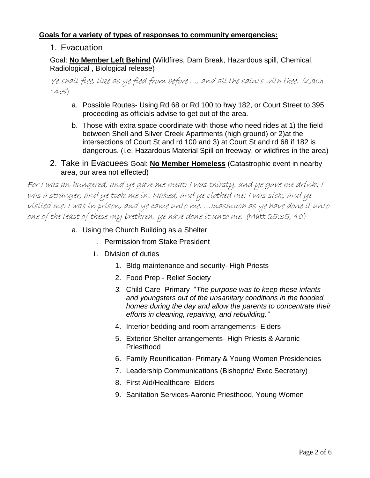## **Goals for a variety of types of responses to community emergencies:**

## 1. Evacuation

Goal: **No Member Left Behind** (Wildfires, Dam Break, Hazardous spill, Chemical, Radiological , Biological release)

Ye shall flee, like as ye fled from before …, and all th[e saints](http://scriptures.lds.org/en/zech/14/5b) with thee. (Zach 14:5)

- a. Possible Routes- Using Rd 68 or Rd 100 to hwy 182, or Court Street to 395, proceeding as officials advise to get out of the area.
- b. Those with extra space coordinate with those who need rides at 1) the field between Shell and Silver Creek Apartments (high ground) or 2)at the intersections of Court St and rd 100 and 3) at Court St and rd 68 if 182 is dangerous. (i.e. Hazardous Material Spill on freeway, or wildfires in the area)

## 2. Take in Evacuees Goal: **No Member Homeless** (Catastrophic event in nearby area, our area not effected)

For I was an hungered, and ye gave me meat: I was thirsty, and ye gave me drink: I was a [stranger,](http://scriptures.lds.org/en/matt/25/35c) and ye took me in: Naked, and ye clothed me: I was sick, and ye [visited](http://scriptures.lds.org/en/matt/25/36a) me: I was i[n prison,](http://scriptures.lds.org/en/matt/25/36b) and ye came unto me. …Inasmuch as ye have [done](http://scriptures.lds.org/en/matt/25/40a) it unto one of th[e least](http://scriptures.lds.org/en/matt/25/40b) of these my [brethren,](http://scriptures.lds.org/en/matt/25/40c) ye have done it unto me. (Matt 25:35, 40)

- a. Using the Church Building as a Shelter
	- i. Permission from Stake President
	- ii. Division of duties
		- 1. Bldg maintenance and security- High Priests
		- 2. Food Prep Relief Society
		- *3.* Child Care- Primary "*The purpose was to keep these infants and youngsters out of the unsanitary conditions in the flooded homes during the day and allow the parents to concentrate their efforts in cleaning, repairing, and rebuilding."*
		- 4. Interior bedding and room arrangements- Elders
		- 5. Exterior Shelter arrangements- High Priests & Aaronic Priesthood
		- 6. Family Reunification- Primary & Young Women Presidencies
		- 7. Leadership Communications (Bishopric/ Exec Secretary)
		- 8. First Aid/Healthcare- Elders
		- 9. Sanitation Services-Aaronic Priesthood, Young Women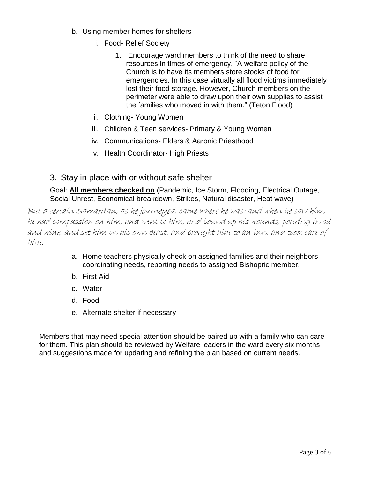- b. Using member homes for shelters
	- i. Food- Relief Society
		- 1. Encourage ward members to think of the need to share resources in times of emergency. "A welfare policy of the Church is to have its members store stocks of food for emergencies. In this case virtually all flood victims immediately lost their food storage. However, Church members on the perimeter were able to draw upon their own supplies to assist the families who moved in with them." (Teton Flood)
	- ii. Clothing- Young Women
	- iii. Children & Teen services- Primary & Young Women
	- iv. Communications- Elders & Aaronic Priesthood
	- v. Health Coordinator- High Priests

## 3. Stay in place with or without safe shelter

Goal: **All members checked on** (Pandemic, Ice Storm, Flooding, Electrical Outage, Social Unrest, Economical breakdown, Strikes, Natural disaster, Heat wave)

But a certai[n Samaritan,](http://scriptures.lds.org/en/luke/10/33a) as he journeyed, came where he was: and when he saw him, he ha[d compassion](http://scriptures.lds.org/en/luke/10/33b) on him, and went to him, and bound up his wounds, pouring in oil and wine, and set him on his own beast, and brought him to an inn, and too[k care](http://scriptures.lds.org/en/luke/10/34a) of him.

- a. Home teachers physically check on assigned families and their neighbors coordinating needs, reporting needs to assigned Bishopric member.
- b. First Aid
- c. Water
- d. Food
- e. Alternate shelter if necessary

Members that may need special attention should be paired up with a family who can care for them. This plan should be reviewed by Welfare leaders in the ward every six months and suggestions made for updating and refining the plan based on current needs.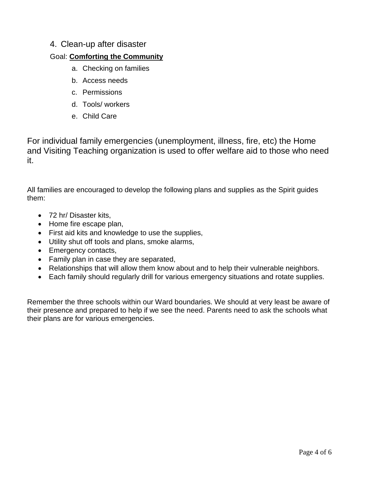## 4. Clean-up after disaster

## Goal: **Comforting the Community**

- a. Checking on families
- b. Access needs
- c. Permissions
- d. Tools/ workers
- e. Child Care

For individual family emergencies (unemployment, illness, fire, etc) the Home and Visiting Teaching organization is used to offer welfare aid to those who need it.

All families are encouraged to develop the following plans and supplies as the Spirit guides them:

- 72 hr/ Disaster kits,
- Home fire escape plan,
- First aid kits and knowledge to use the supplies,
- Utility shut off tools and plans, smoke alarms,
- Emergency contacts,
- Family plan in case they are separated,
- Relationships that will allow them know about and to help their vulnerable neighbors.
- Each family should regularly drill for various emergency situations and rotate supplies.

Remember the three schools within our Ward boundaries. We should at very least be aware of their presence and prepared to help if we see the need. Parents need to ask the schools what their plans are for various emergencies.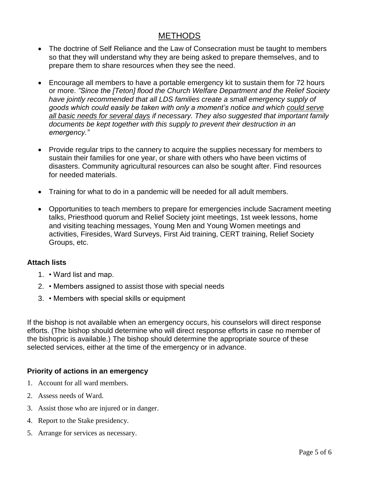# **METHODS**

- The doctrine of Self Reliance and the Law of Consecration must be taught to members so that they will understand why they are being asked to prepare themselves, and to prepare them to share resources when they see the need.
- Encourage all members to have a portable emergency kit to sustain them for 72 hours or more. *"Since the [Teton] flood the Church Welfare Department and the Relief Society have jointly recommended that all LDS families create a small emergency supply of goods which could easily be taken with only a moment's notice and which could serve all basic needs for several days if necessary. They also suggested that important family*  documents be kept together with this supply to prevent their destruction in an *emergency."*
- Provide regular trips to the cannery to acquire the supplies necessary for members to sustain their families for one year, or share with others who have been victims of disasters. Community agricultural resources can also be sought after. Find resources for needed materials.
- Training for what to do in a pandemic will be needed for all adult members.
- Opportunities to teach members to prepare for emergencies include Sacrament meeting talks, Priesthood quorum and Relief Society joint meetings, 1st week lessons, home and visiting teaching messages, Young Men and Young Women meetings and activities, Firesides, Ward Surveys, First Aid training, CERT training, Relief Society Groups, etc.

## **Attach lists**

- 1. Ward list and map.
- 2. Members assigned to assist those with special needs
- 3. Members with special skills or equipment

If the bishop is not available when an emergency occurs, his counselors will direct response efforts. (The bishop should determine who will direct response efforts in case no member of the bishopric is available.) The bishop should determine the appropriate source of these selected services, either at the time of the emergency or in advance.

## **Priority of actions in an emergency**

- 1. Account for all ward members.
- 2. Assess needs of Ward.
- 3. Assist those who are injured or in danger.
- 4. Report to the Stake presidency.
- 5. Arrange for services as necessary.